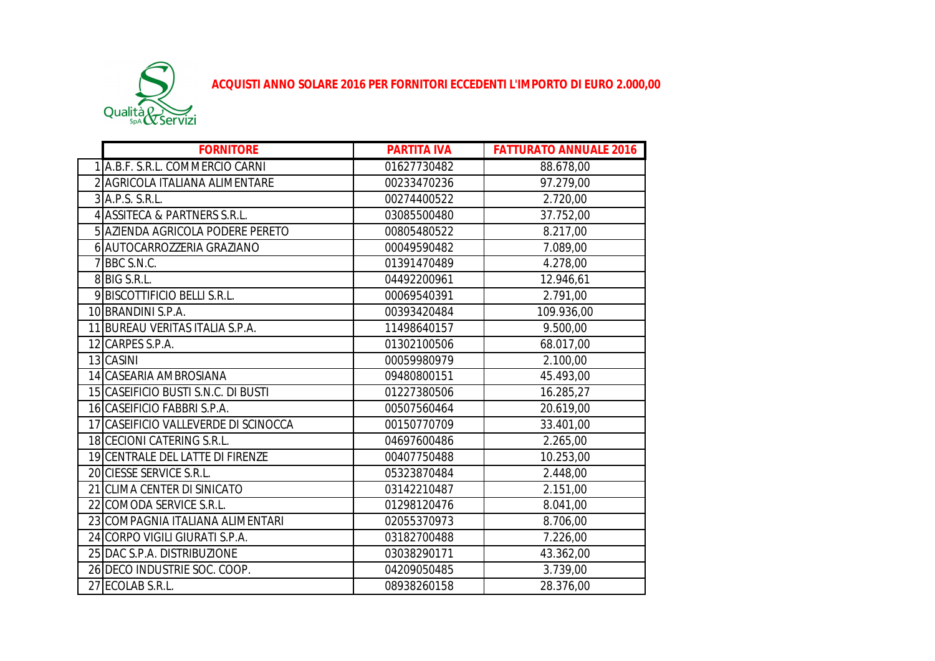

**ACQUISTI ANNO SOLARE 2016 PER FORNITORI ECCEDENTI L'IMPORTO DI EURO 2.000,00**

|   | <b>FORNITORE</b>                     | <b>PARTITA IVA</b> | <b>FATTURATO ANNUALE 2016</b> |
|---|--------------------------------------|--------------------|-------------------------------|
|   | 1 A.B.F. S.R.L. COMMERCIO CARNI      | 01627730482        | 88.678,00                     |
|   | 2 AGRICOLA ITALIANA ALIMENTARE       | 00233470236        | 97.279,00                     |
|   | 3 A.P.S. S.R.L.                      | 00274400522        | 2.720,00                      |
|   | 4 ASSITECA & PARTNERS S.R.L.         | 03085500480        | 37.752,00                     |
|   | 5 AZIENDA AGRICOLA PODERE PERETO     | 00805480522        | 8.217,00                      |
|   | 6 AUTOCARROZZERIA GRAZIANO           | 00049590482        | 7.089,00                      |
| 7 | BBC S.N.C.                           | 01391470489        | 4.278,00                      |
|   | 8 BIG S.R.L.                         | 04492200961        | 12.946,61                     |
|   | 9 BISCOTTIFICIO BELLI S.R.L.         | 00069540391        | 2.791,00                      |
|   | 10 BRANDINI S.P.A.                   | 00393420484        | 109.936,00                    |
|   | 11 BUREAU VERITAS ITALIA S.P.A.      | 11498640157        | 9.500,00                      |
|   | 12 CARPES S.P.A.                     | 01302100506        | 68.017,00                     |
|   | 13 CASINI                            | 00059980979        | 2.100,00                      |
|   | 14 CASEARIA AMBROSIANA               | 09480800151        | 45.493,00                     |
|   | 15 CASEIFICIO BUSTI S.N.C. DI BUSTI  | 01227380506        | 16.285,27                     |
|   | 16 CASEIFICIO FABBRI S.P.A.          | 00507560464        | 20.619,00                     |
|   | 17 CASEIFICIO VALLEVERDE DI SCINOCCA | 00150770709        | 33.401,00                     |
|   | 18 CECIONI CATERING S.R.L.           | 04697600486        | 2.265,00                      |
|   | 19 CENTRALE DEL LATTE DI FIRENZE     | 00407750488        | 10.253,00                     |
|   | 20 CIESSE SERVICE S.R.L.             | 05323870484        | 2.448,00                      |
|   | 21 CLIMA CENTER DI SINICATO          | 03142210487        | 2.151,00                      |
|   | 22 COMODA SERVICE S.R.L.             | 01298120476        | 8.041,00                      |
|   | 23 COMPAGNIA ITALIANA ALIMENTARI     | 02055370973        | 8.706,00                      |
|   | 24 CORPO VIGILI GIURATI S.P.A.       | 03182700488        | 7.226,00                      |
|   | 25 DAC S.P.A. DISTRIBUZIONE          | 03038290171        | 43.362,00                     |
|   | 26 DECO INDUSTRIE SOC. COOP.         | 04209050485        | 3.739,00                      |
|   | 27 ECOLAB S.R.L.                     | 08938260158        | 28.376,00                     |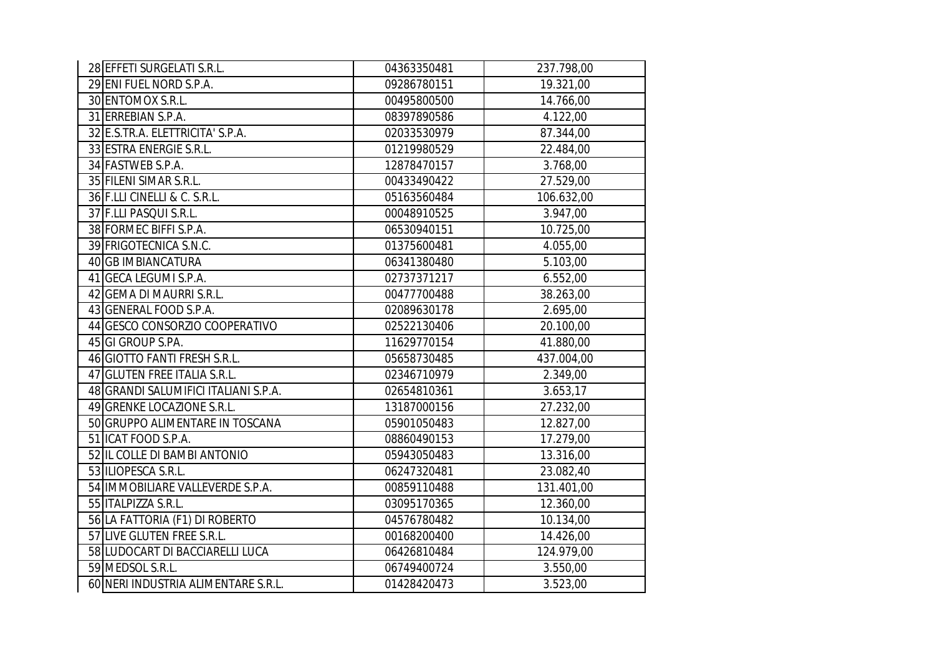| 28 EFFETI SURGELATI S.R.L.           | 04363350481 | 237.798,00 |
|--------------------------------------|-------------|------------|
| 29 ENI FUEL NORD S.P.A.              | 09286780151 | 19.321,00  |
| 30 ENTOMOX S.R.L.                    | 00495800500 | 14.766,00  |
| 31 ERREBIAN S.P.A.                   | 08397890586 | 4.122,00   |
| 32 E.S.TR.A. ELETTRICITA' S.P.A.     | 02033530979 | 87.344,00  |
| 33 ESTRA ENERGIE S.R.L.              | 01219980529 | 22.484,00  |
| 34 FASTWEB S.P.A.                    | 12878470157 | 3.768,00   |
| 35 FILENI SIMAR S.R.L.               | 00433490422 | 27.529,00  |
| 36 F.LLI CINELLI & C. S.R.L.         | 05163560484 | 106.632,00 |
| 37 F.LLI PASQUI S.R.L.               | 00048910525 | 3.947,00   |
| 38 FORMEC BIFFI S.P.A.               | 06530940151 | 10.725,00  |
| 39 FRIGOTECNICA S.N.C.               | 01375600481 | 4.055,00   |
| 40 GB IMBIANCATURA                   | 06341380480 | 5.103,00   |
| 41 GECA LEGUMI S.P.A.                | 02737371217 | 6.552,00   |
| 42 GEMA DI MAURRI S.R.L.             | 00477700488 | 38.263,00  |
| 43 GENERAL FOOD S.P.A.               | 02089630178 | 2.695,00   |
| 44 GESCO CONSORZIO COOPERATIVO       | 02522130406 | 20.100,00  |
| 45 GI GROUP S.PA.                    | 11629770154 | 41.880,00  |
| 46 GIOTTO FANTI FRESH S.R.L.         | 05658730485 | 437.004,00 |
| 47 GLUTEN FREE ITALIA S.R.L.         | 02346710979 | 2.349,00   |
| 48 GRANDI SALUMIFICI ITALIANI S.P.A. | 02654810361 | 3.653,17   |
| 49 GRENKE LOCAZIONE S.R.L.           | 13187000156 | 27.232,00  |
| 50 GRUPPO ALIMENTARE IN TOSCANA      | 05901050483 | 12.827,00  |
| 51 ICAT FOOD S.P.A.                  | 08860490153 | 17.279,00  |
| 52 IL COLLE DI BAMBI ANTONIO         | 05943050483 | 13.316,00  |
| 53 ILIOPESCA S.R.L.                  | 06247320481 | 23.082,40  |
| 54 IMMOBILIARE VALLEVERDE S.P.A.     | 00859110488 | 131.401,00 |
| 55 ITALPIZZA S.R.L.                  | 03095170365 | 12.360,00  |
| 56 LA FATTORIA (F1) DI ROBERTO       | 04576780482 | 10.134,00  |
| 57 LIVE GLUTEN FREE S.R.L.           | 00168200400 | 14.426,00  |
| 58 LUDOCART DI BACCIARELLI LUCA      | 06426810484 | 124.979,00 |
| 59 MEDSOL S.R.L.                     | 06749400724 | 3.550,00   |
| 60 NERI INDUSTRIA ALIMENTARE S.R.L.  | 01428420473 | 3.523,00   |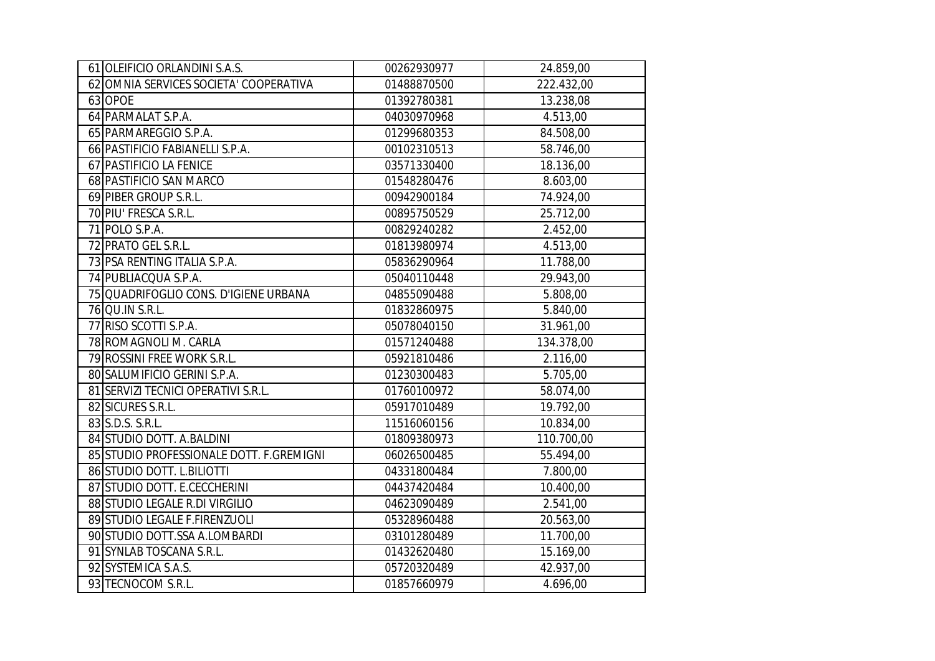| 61 OLEIFICIO ORLANDINI S.A.S.            | 00262930977 | 24.859,00  |
|------------------------------------------|-------------|------------|
| 62 OMNIA SERVICES SOCIETA' COOPERATIVA   | 01488870500 | 222.432,00 |
| 63 OPOE                                  | 01392780381 | 13.238,08  |
| 64 PARMALAT S.P.A.                       | 04030970968 | 4.513,00   |
| 65 PARMAREGGIO S.P.A.                    | 01299680353 | 84.508,00  |
| 66 PASTIFICIO FABIANELLI S.P.A.          | 00102310513 | 58.746,00  |
| 67 PASTIFICIO LA FENICE                  | 03571330400 | 18.136,00  |
| 68 PASTIFICIO SAN MARCO                  | 01548280476 | 8.603,00   |
| 69 PIBER GROUP S.R.L.                    | 00942900184 | 74.924,00  |
| 70 PIU' FRESCA S.R.L.                    | 00895750529 | 25.712,00  |
| 71 POLO S.P.A.                           | 00829240282 | 2.452,00   |
| 72 PRATO GEL S.R.L.                      | 01813980974 | 4.513,00   |
| 73 PSA RENTING ITALIA S.P.A.             | 05836290964 | 11.788,00  |
| 74 PUBLIACQUA S.P.A.                     | 05040110448 | 29.943,00  |
| 75 QUADRIFOGLIO CONS. D'IGIENE URBANA    | 04855090488 | 5.808,00   |
| 76 QU.IN S.R.L.                          | 01832860975 | 5.840,00   |
| 77 RISO SCOTTI S.P.A.                    | 05078040150 | 31.961,00  |
| 78 ROMAGNOLI M. CARLA                    | 01571240488 | 134.378,00 |
| 79 ROSSINI FREE WORK S.R.L.              | 05921810486 | 2.116,00   |
| 80 SALUMIFICIO GERINI S.P.A.             | 01230300483 | 5.705,00   |
| 81 SERVIZI TECNICI OPERATIVI S.R.L.      | 01760100972 | 58.074,00  |
| 82 SICURES S.R.L.                        | 05917010489 | 19.792,00  |
| 83 S.D.S. S.R.L.                         | 11516060156 | 10.834,00  |
| 84 STUDIO DOTT. A.BALDINI                | 01809380973 | 110.700,00 |
| 85 STUDIO PROFESSIONALE DOTT. F.GREMIGNI | 06026500485 | 55.494,00  |
| 86 STUDIO DOTT. L.BILIOTTI               | 04331800484 | 7.800,00   |
| 87 STUDIO DOTT. E.CECCHERINI             | 04437420484 | 10.400,00  |
| 88 STUDIO LEGALE R.DI VIRGILIO           | 04623090489 | 2.541,00   |
| 89 STUDIO LEGALE F.FIRENZUOLI            | 05328960488 | 20.563,00  |
| 90 STUDIO DOTT.SSA A.LOMBARDI            | 03101280489 | 11.700,00  |
| 91 SYNLAB TOSCANA S.R.L.                 | 01432620480 | 15.169,00  |
| 92 SYSTEMICA S.A.S.                      | 05720320489 | 42.937,00  |
| 93 TECNOCOM S.R.L.                       | 01857660979 | 4.696,00   |